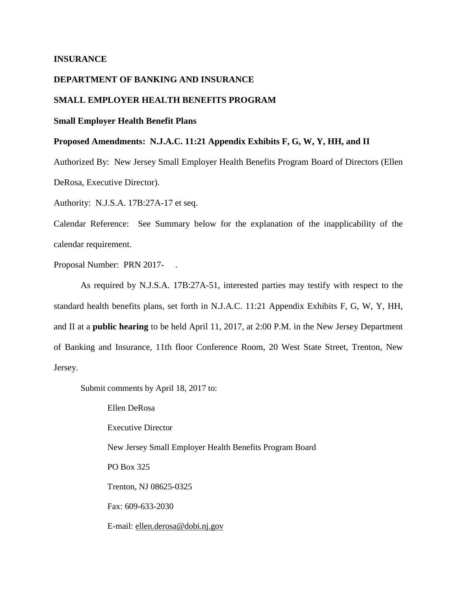# **INSURANCE**

# **DEPARTMENT OF BANKING AND INSURANCE**

# **SMALL EMPLOYER HEALTH BENEFITS PROGRAM**

# **Small Employer Health Benefit Plans**

# **Proposed Amendments: N.J.A.C. 11:21 Appendix Exhibits F, G, W, Y, HH, and II**

Authorized By: New Jersey Small Employer Health Benefits Program Board of Directors (Ellen DeRosa, Executive Director).

Authority: N.J.S.A. 17B:27A-17 et seq.

Calendar Reference: See Summary below for the explanation of the inapplicability of the calendar requirement.

Proposal Number: PRN 2017- .

As required by N.J.S.A. 17B:27A-51, interested parties may testify with respect to the standard health benefits plans, set forth in N.J.A.C. 11:21 Appendix Exhibits F, G, W, Y, HH, and II at a **public hearing** to be held April 11, 2017, at 2:00 P.M. in the New Jersey Department of Banking and Insurance, 11th floor Conference Room, 20 West State Street, Trenton, New Jersey.

Submit comments by April 18, 2017 to:

Ellen DeRosa Executive Director New Jersey Small Employer Health Benefits Program Board PO Box 325 Trenton, NJ 08625-0325 Fax: 609-633-2030 E-mail: ellen.derosa@dobi.nj.gov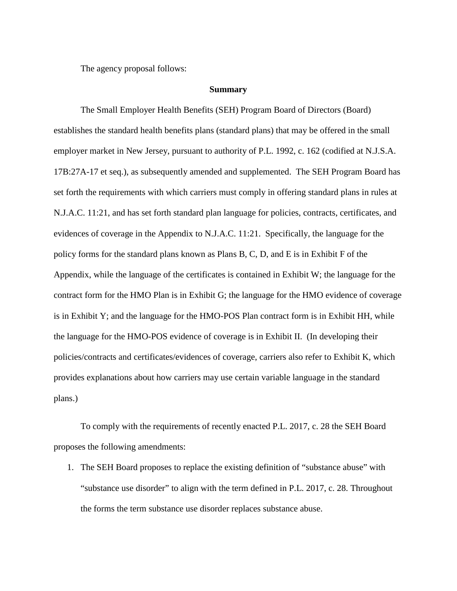The agency proposal follows:

#### **Summary**

The Small Employer Health Benefits (SEH) Program Board of Directors (Board) establishes the standard health benefits plans (standard plans) that may be offered in the small employer market in New Jersey, pursuant to authority of P.L. 1992, c. 162 (codified at N.J.S.A. 17B:27A-17 et seq.), as subsequently amended and supplemented. The SEH Program Board has set forth the requirements with which carriers must comply in offering standard plans in rules at N.J.A.C. 11:21, and has set forth standard plan language for policies, contracts, certificates, and evidences of coverage in the Appendix to N.J.A.C. 11:21. Specifically, the language for the policy forms for the standard plans known as Plans B, C, D, and E is in Exhibit F of the Appendix, while the language of the certificates is contained in Exhibit W; the language for the contract form for the HMO Plan is in Exhibit G; the language for the HMO evidence of coverage is in Exhibit Y; and the language for the HMO-POS Plan contract form is in Exhibit HH, while the language for the HMO-POS evidence of coverage is in Exhibit II. (In developing their policies/contracts and certificates/evidences of coverage, carriers also refer to Exhibit K, which provides explanations about how carriers may use certain variable language in the standard plans.)

To comply with the requirements of recently enacted P.L. 2017, c. 28 the SEH Board proposes the following amendments:

1. The SEH Board proposes to replace the existing definition of "substance abuse" with "substance use disorder" to align with the term defined in P.L. 2017, c. 28. Throughout the forms the term substance use disorder replaces substance abuse.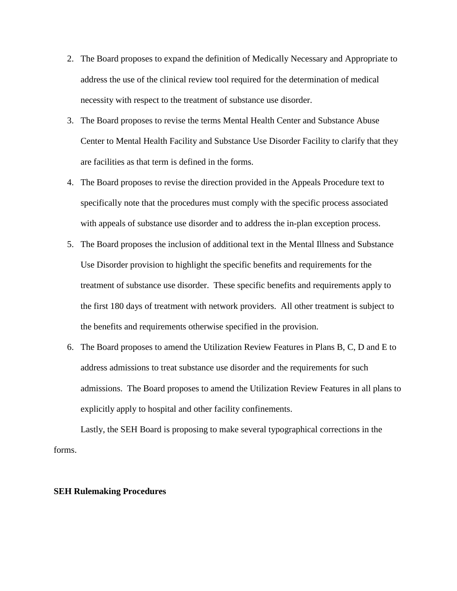- 2. The Board proposes to expand the definition of Medically Necessary and Appropriate to address the use of the clinical review tool required for the determination of medical necessity with respect to the treatment of substance use disorder.
- 3. The Board proposes to revise the terms Mental Health Center and Substance Abuse Center to Mental Health Facility and Substance Use Disorder Facility to clarify that they are facilities as that term is defined in the forms.
- 4. The Board proposes to revise the direction provided in the Appeals Procedure text to specifically note that the procedures must comply with the specific process associated with appeals of substance use disorder and to address the in-plan exception process.
- 5. The Board proposes the inclusion of additional text in the Mental Illness and Substance Use Disorder provision to highlight the specific benefits and requirements for the treatment of substance use disorder. These specific benefits and requirements apply to the first 180 days of treatment with network providers. All other treatment is subject to the benefits and requirements otherwise specified in the provision.
- 6. The Board proposes to amend the Utilization Review Features in Plans B, C, D and E to address admissions to treat substance use disorder and the requirements for such admissions. The Board proposes to amend the Utilization Review Features in all plans to explicitly apply to hospital and other facility confinements.

Lastly, the SEH Board is proposing to make several typographical corrections in the forms.

# **SEH Rulemaking Procedures**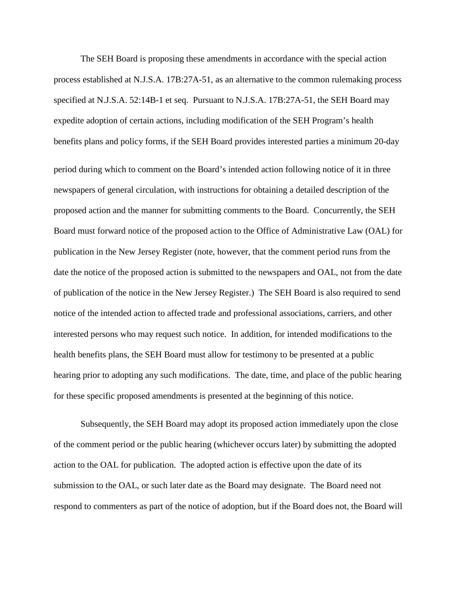The SEH Board is proposing these amendments in accordance with the special action process established at N.J.S.A. 17B:27A-51, as an alternative to the common rulemaking process specified at N.J.S.A. 52:14B-1 et seq. Pursuant to N.J.S.A. 17B:27A-51, the SEH Board may expedite adoption of certain actions, including modification of the SEH Program's health benefits plans and policy forms, if the SEH Board provides interested parties a minimum 20-day period during which to comment on the Board's intended action following notice of it in three newspapers of general circulation, with instructions for obtaining a detailed description of the proposed action and the manner for submitting comments to the Board. Concurrently, the SEH Board must forward notice of the proposed action to the Office of Administrative Law (OAL) for publication in the New Jersey Register (note, however, that the comment period runs from the date the notice of the proposed action is submitted to the newspapers and OAL, not from the date of publication of the notice in the New Jersey Register.) The SEH Board is also required to send notice of the intended action to affected trade and professional associations, carriers, and other interested persons who may request such notice. In addition, for intended modifications to the health benefits plans, the SEH Board must allow for testimony to be presented at a public hearing prior to adopting any such modifications. The date, time, and place of the public hearing for these specific proposed amendments is presented at the beginning of this notice.

Subsequently, the SEH Board may adopt its proposed action immediately upon the close of the comment period or the public hearing (whichever occurs later) by submitting the adopted action to the OAL for publication. The adopted action is effective upon the date of its submission to the OAL, or such later date as the Board may designate. The Board need not respond to commenters as part of the notice of adoption, but if the Board does not, the Board will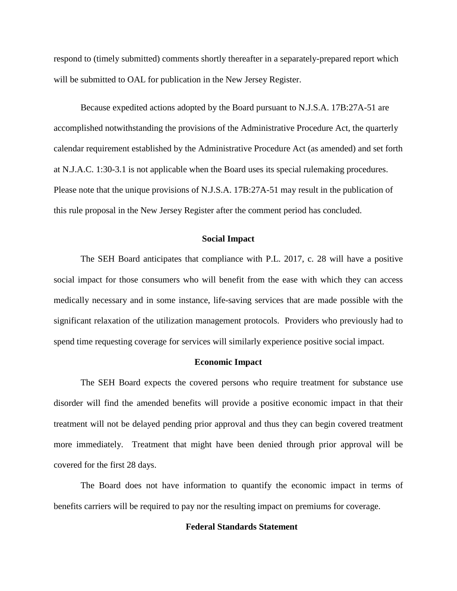respond to (timely submitted) comments shortly thereafter in a separately-prepared report which will be submitted to OAL for publication in the New Jersey Register.

Because expedited actions adopted by the Board pursuant to N.J.S.A. 17B:27A-51 are accomplished notwithstanding the provisions of the Administrative Procedure Act, the quarterly calendar requirement established by the Administrative Procedure Act (as amended) and set forth at N.J.A.C. 1:30-3.1 is not applicable when the Board uses its special rulemaking procedures. Please note that the unique provisions of N.J.S.A. 17B:27A-51 may result in the publication of this rule proposal in the New Jersey Register after the comment period has concluded.

# **Social Impact**

The SEH Board anticipates that compliance with P.L. 2017, c. 28 will have a positive social impact for those consumers who will benefit from the ease with which they can access medically necessary and in some instance, life-saving services that are made possible with the significant relaxation of the utilization management protocols. Providers who previously had to spend time requesting coverage for services will similarly experience positive social impact.

# **Economic Impact**

The SEH Board expects the covered persons who require treatment for substance use disorder will find the amended benefits will provide a positive economic impact in that their treatment will not be delayed pending prior approval and thus they can begin covered treatment more immediately. Treatment that might have been denied through prior approval will be covered for the first 28 days.

The Board does not have information to quantify the economic impact in terms of benefits carriers will be required to pay nor the resulting impact on premiums for coverage.

# **Federal Standards Statement**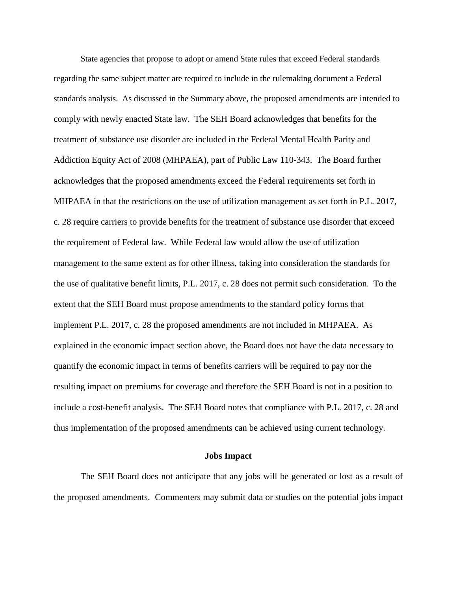State agencies that propose to adopt or amend State rules that exceed Federal standards regarding the same subject matter are required to include in the rulemaking document a Federal standards analysis. As discussed in the Summary above, the proposed amendments are intended to comply with newly enacted State law. The SEH Board acknowledges that benefits for the treatment of substance use disorder are included in the Federal Mental Health Parity and Addiction Equity Act of 2008 (MHPAEA), part of Public Law 110-343. The Board further acknowledges that the proposed amendments exceed the Federal requirements set forth in MHPAEA in that the restrictions on the use of utilization management as set forth in P.L. 2017, c. 28 require carriers to provide benefits for the treatment of substance use disorder that exceed the requirement of Federal law. While Federal law would allow the use of utilization management to the same extent as for other illness, taking into consideration the standards for the use of qualitative benefit limits, P.L. 2017, c. 28 does not permit such consideration. To the extent that the SEH Board must propose amendments to the standard policy forms that implement P.L. 2017, c. 28 the proposed amendments are not included in MHPAEA. As explained in the economic impact section above, the Board does not have the data necessary to quantify the economic impact in terms of benefits carriers will be required to pay nor the resulting impact on premiums for coverage and therefore the SEH Board is not in a position to include a cost-benefit analysis. The SEH Board notes that compliance with P.L. 2017, c. 28 and thus implementation of the proposed amendments can be achieved using current technology.

#### **Jobs Impact**

The SEH Board does not anticipate that any jobs will be generated or lost as a result of the proposed amendments. Commenters may submit data or studies on the potential jobs impact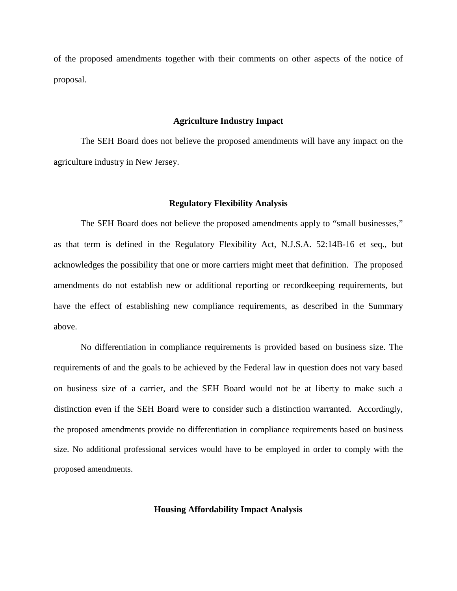of the proposed amendments together with their comments on other aspects of the notice of proposal.

#### **Agriculture Industry Impact**

The SEH Board does not believe the proposed amendments will have any impact on the agriculture industry in New Jersey.

# **Regulatory Flexibility Analysis**

The SEH Board does not believe the proposed amendments apply to "small businesses," as that term is defined in the Regulatory Flexibility Act, N.J.S.A. 52:14B-16 et seq., but acknowledges the possibility that one or more carriers might meet that definition. The proposed amendments do not establish new or additional reporting or recordkeeping requirements, but have the effect of establishing new compliance requirements, as described in the Summary above.

No differentiation in compliance requirements is provided based on business size. The requirements of and the goals to be achieved by the Federal law in question does not vary based on business size of a carrier, and the SEH Board would not be at liberty to make such a distinction even if the SEH Board were to consider such a distinction warranted. Accordingly, the proposed amendments provide no differentiation in compliance requirements based on business size. No additional professional services would have to be employed in order to comply with the proposed amendments.

#### **Housing Affordability Impact Analysis**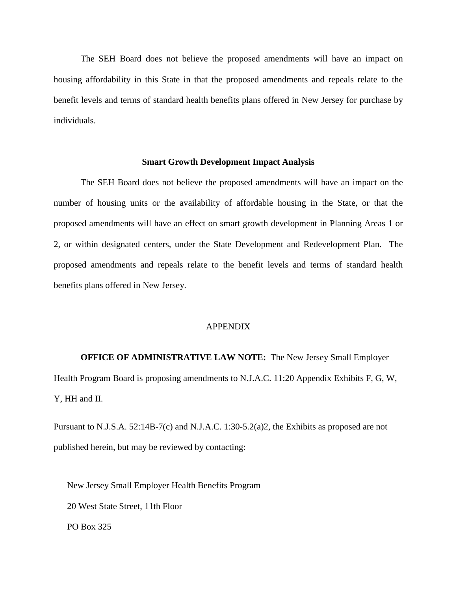The SEH Board does not believe the proposed amendments will have an impact on housing affordability in this State in that the proposed amendments and repeals relate to the benefit levels and terms of standard health benefits plans offered in New Jersey for purchase by individuals.

# **Smart Growth Development Impact Analysis**

The SEH Board does not believe the proposed amendments will have an impact on the number of housing units or the availability of affordable housing in the State, or that the proposed amendments will have an effect on smart growth development in Planning Areas 1 or 2, or within designated centers, under the State Development and Redevelopment Plan. The proposed amendments and repeals relate to the benefit levels and terms of standard health benefits plans offered in New Jersey.

# APPENDIX

**OFFICE OF ADMINISTRATIVE LAW NOTE:** The New Jersey Small Employer Health Program Board is proposing amendments to N.J.A.C. 11:20 Appendix Exhibits F, G, W, Y, HH and II.

Pursuant to N.J.S.A. 52:14B-7(c) and N.J.A.C. 1:30-5.2(a)2, the Exhibits as proposed are not published herein, but may be reviewed by contacting:

New Jersey Small Employer Health Benefits Program 20 West State Street, 11th Floor PO Box 325